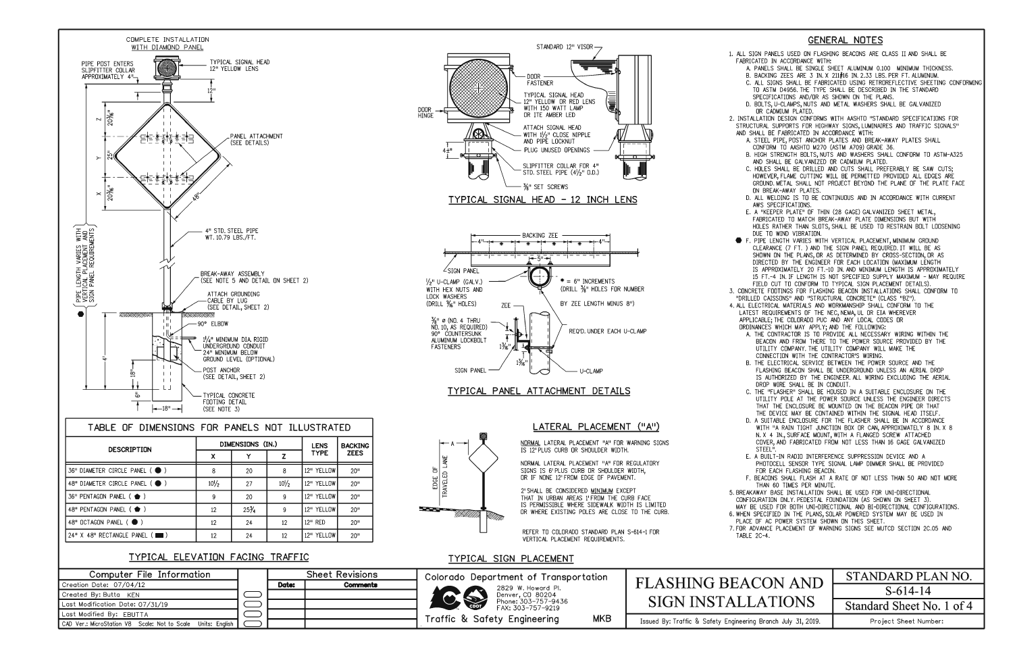

| <b>DESCRIPTION</b>                      |                 | DIMENSIONS (IN.) | <b>LENS</b>     | <b>BACKING</b> |                  |  |  |
|-----------------------------------------|-----------------|------------------|-----------------|----------------|------------------|--|--|
|                                         | X               |                  |                 | <b>TYPE</b>    | <b>ZEES</b>      |  |  |
| 36" DIAMETER CIRCLE PANEL ( )           | 8               | 20               | 8               | 12" YELLOW     | 20 <sup>11</sup> |  |  |
| 48" DIAMETER CIRCLE PANEL ( $\bullet$ ) | $10\frac{1}{2}$ | 27               | $10\frac{1}{2}$ | 12" YELLOW     | 20 <sup>11</sup> |  |  |
| 36" PENTAGON PANEL ( $\bullet$ )        | 9               | 20               | 9               | 12" YELLOW     | 20 <sup>11</sup> |  |  |
| 48" PENTAGON PANEL ( $\bullet$ )        | 12              | $25\frac{3}{4}$  | 9               | 12" YELLOW     | 20 <sup>11</sup> |  |  |
| 48" OCTAGON PANEL (●)                   | 12              | 24               | 12              | 12" RED        | 20 <sup>11</sup> |  |  |
| 24" X 48" RECTANGLE PANEL (             | 12              | 24               | 12              | 12" YELLOW     | 20 <sup>0</sup>  |  |  |

# **TYPICAL ELEVATION FACING TRAFFIC**

2' SHALL BE CONSIDERED MINIMUM EXCEPT THAT IN URBAN AREAS 1' FROM THE CURB FACE IS PERMISSIBLE WHERE SIDEWALK WIDTH IS LIMITED DR WHERE EXISTING POLES ARE CLOSE TD THE CURB.

| Computer File Information                                    | <b>Sheet Revisions</b> |          |  |
|--------------------------------------------------------------|------------------------|----------|--|
| Creation Date: 07/04/12                                      | Date:                  | Comments |  |
| Created By: Butta KEN                                        |                        |          |  |
| Last Modification Date: 07/31/19                             |                        |          |  |
| Last Modified By: EBUTTA                                     |                        |          |  |
| CAD Ver.: MicroStation V8 Scale: Not to Scale Units: English |                        |          |  |

B. HIGH STRENGTH BOLTS, NUTS AND WASHERS SHALL CONFORM TO ASTM-A325 AND SHALL BE GALVANIZED DR CADMIUM PLATED.





 $STANDARD 12" VISOR -$ 

## **TYPICAL PANEL ATTACHMENT DETAILS**

REFER TD COLORADO STANDARD PLAN S-614-1 FOR VERTICAL PLACEMENT REQUIREMENTS.

# **TYPICAL SIGN PLACEMENT**

# **GENERAL NOTES**

I. ALL SIGN PANELS USED ON FLASHING BEACONS ARE CLASS II AND SHALL BE FABRICATED IN ACCORDANCE WITH:

 A. PANELS SHALL BE SINGLE SHEET ALUMINUM 0.100 MINIMUM THICKNESS. B. BACKING ZEES ARE 3 IN. X 211#16 IN. 2.33 LBS. PER FT. ALUMINUM.

 C. ALL SIGNS SHALL BE FABRICATED USING RETRDREFLECTIVE SHEETING CONFORMING TD ASTM D4956. THE TYPE SHALL BE DESCRIBED IN THE STANDARD

SPECIFICATIONS AND/DR AS SHOWN ON THE PLANS. D. BOLTS, U-CLAMPS, NUTS AND METAL WASHERS SHALL BE GALVANIZED DR CADMIUM PLATED.

 2. INSTALLATION DESIGN CONFORMS WITH AASHTD "STANDARD SPECIFICATIONS FDR STRUCTURAL SUPPORTS FDR HIGHWAY SIGNS, LUMINAIRES AND TRAFFIC SIGNALS" ANO SHALL BE FABRICATED IN ACCORDANCE WITH:

5. BREAKAWAY BASE INSTALLATION SHALL BE USED FOR UNI-DIRECTIONAL CONFIGURATION ONLY. PEDESTAL FOUNDATION (AS SHOWN ON SHEET 3). MAY BE USED FOR BOTH UNI-DIRECTIONAL AND BI-DIRECTIONAL CONFIGURATIONS. 6. WHEN SPECIFIED IN THE PLANS, SOLAR POWERED SYSTEM MAY BE USED IN PLACE OF AC POWER SYSTEM SHOWN ON THIS SHEET. 7. FOR ADVANCE PLACEMENT OF WARNING SIGNS SEE MUTCD SECTION 2C.05 AND TABLE 2C-4.

| olorado Department of Transportation         | <b>FLASHING BEACON AND</b>                                    | STANDARD PLAN NO.         |  |
|----------------------------------------------|---------------------------------------------------------------|---------------------------|--|
| 2829 W. Howard Pl.<br>CS<br>Denver, CD 80204 |                                                               | $S-614-14$                |  |
| Phone: 303-757-9436<br>FAX: 303-757-9219     | <b>SIGN INSTALLATIONS</b>                                     | Standard Sheet No. 1 of 4 |  |
| raffic & Safety Engineering<br><b>MKB</b>    | Issued By: Traffic & Safety Engineering Branch July 31, 2019. | Project Sheet Number:     |  |

A. STEEL PIPE, PDST ANCHOR PLATES AND BREAK-AWAY PLATES SHALL CONFORM TD AASHTD M270 (ASTM A709) GRADE 36.

3. CONCRETE FOOTINGS FDR FLASHING BEACON INSTALLATIONS SHALL CONFORM TD "DRILLED CAISSONS" AND "STRUCTURAL CONCRETE" (CLASS "BZ"). 4. ALL ELECTRICAL MATERIALS AND WORKMANSHIP SHALL CONFORM TD THE LATEST REQUIREMENTS OF THE NEC,NEMA, UL OR EIA WHEREVER APPLICABLE; THE COLORADO PUC AND ANY LOCAL CODES OR

- C. HOLES SHALL BE DRILLED AND CUTS SHALL PREFERABLY BE SAW CUTS; HOWEVER,FLAME CUTTING WILL BE PERMITTED PROVIDED ALL EDGES ARE GROUND. METAL SHALL NOT PROJECT BEYOND THE PLANE OF THE PLATE FACE ON BREAK-AWAY PLATES.
- D. ALL WELDING IS TD BE CONTINUOUS AND IN ACCORDANCE WITH CURRENT AWS SPECIFICATIONS.
- E. A "KEEPER PLATE" OF THIN (28 GAGE) GALVANIZED SHEET METAL, FABRICATED TD MATCH BREAK-AWAY PLATE DIMENSIONS BUT WITH HOLES RATHER THAN SLDTS, SHALL BE USED TD RESTRAIN BOLT LOOSENING DUE TD WIND VIBRATION.
- **F. PIPE LENGTH VARIES WITH VERTICAL PLACEMENT, MINIMUM GROUND** CLEARANCE (7 FT. ) AND THE SIGN PANEL REQUIRED. IT WILL BE AS SHOWN ON THE PLANS, DR AS DETERMINED BY CROSS-SECTION, DR AS DIRECTED BY THE ENGINEER FOR EACH LOCATION (MAXIMUM LENGTH IS APPROXIMATELY 20 FT.-10 IN. AND **MINIMUM** LENGTH IS APPROXIMATELY 15 FT.-4 IN. IF LENGTH IS NOT SPECIFIED SUPPLY MAXIMUM - MAY REQUIRE FIELD CUT TD CONFORM TD TYPICAL SIGN PLACEMENT DETAILS).
- ORDINANCES WHICH MAY APPLY; AND THE FOLLOWING: A. THE CONTRACTOR IS TD PROVIDE ALL NECESSARY WIRING WITHIN THE BEACON AND FROM THERE TD THE POWER SOURCE PROVIDED BY THE UTILITY COMPANY. THE UTILITY COMPANY WILL MAKE THE CONNECTION WITH THE CONTRACTOR'S WIRING.
- B. THE ELECTRICAL SERVICE BETWEEN THE POWER SOURCE AND THE FLASHING BEACON SHALL BE UNDERGROUND UNLESS AN AERIAL DROP IS AUTHORIZED BY THE ENGINEER. ALL WIRING EXCLUDING THE AERIAL DROP WIRE SHALL BE IN CONDUIT.
- C. THE "FLASHER" SHALL BE HOUSED IN A SUIT ABLE ENCLOSURE ON THE UTILITY POLE AT THE POWER SOURCE UNLESS THE ENGINEER DIRECTS THAT THE ENCLOSURE BE MOUNTED ON THE BEACON PIPE OR THAT THE DEVICE MAY BE CONTAINED WITHIN THE SIGNAL HEAD ITSELF.
- D. A SUITABLE ENCLOSURE FOR THE FLASHER SHALL BE IN ACCORDANCE WITH "A RAIN TIGHT JUNCTION BOX OR CAN, APPROXIMATELY 8 IN. X 8 N. X 4 IN., SURFACE MOUNT, WITH A FLANGED SCREW ATTACHED COVER, AND FABRICATED FROM NOT LESS THAN 16 GAGE GALVANIZED STEEL".
- E. A BUILT-IN RADIO INTERFERENCE SUPPRESSION DEVICE AND A PHOTOCELL SENSOR TYPE SIGNAL LAMP DIMMER SHALL BE PROVIDED FOR EACH FLASHING BEACON.

 F. BEACONS SHALL FLASH AT A RATE OF NOT LESS THAN 50 AND NOT MORE THAN 60 TIMES PER MINUTE.

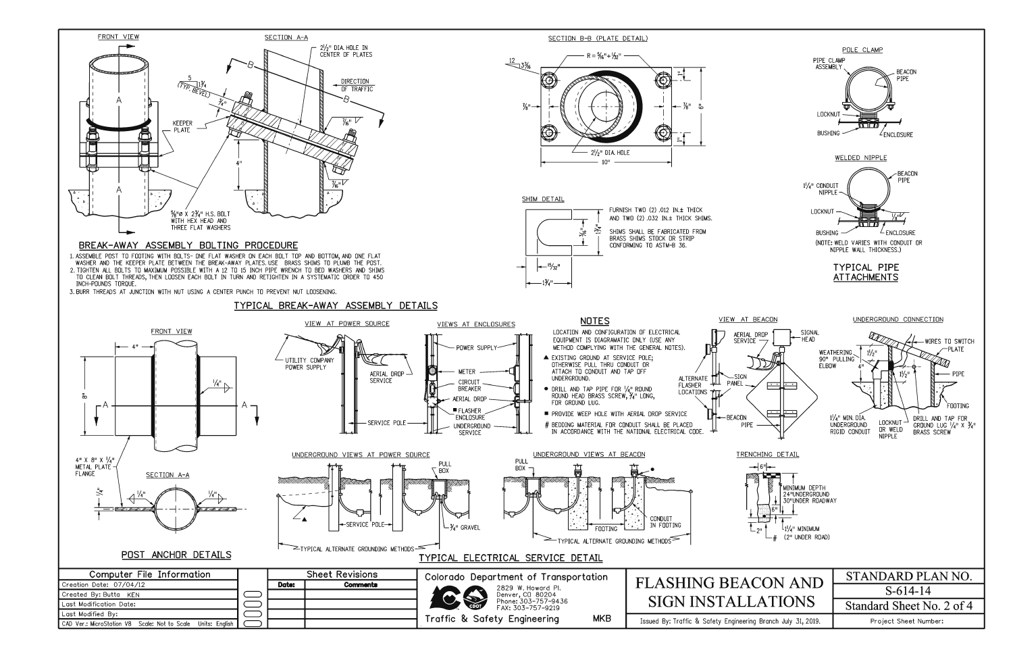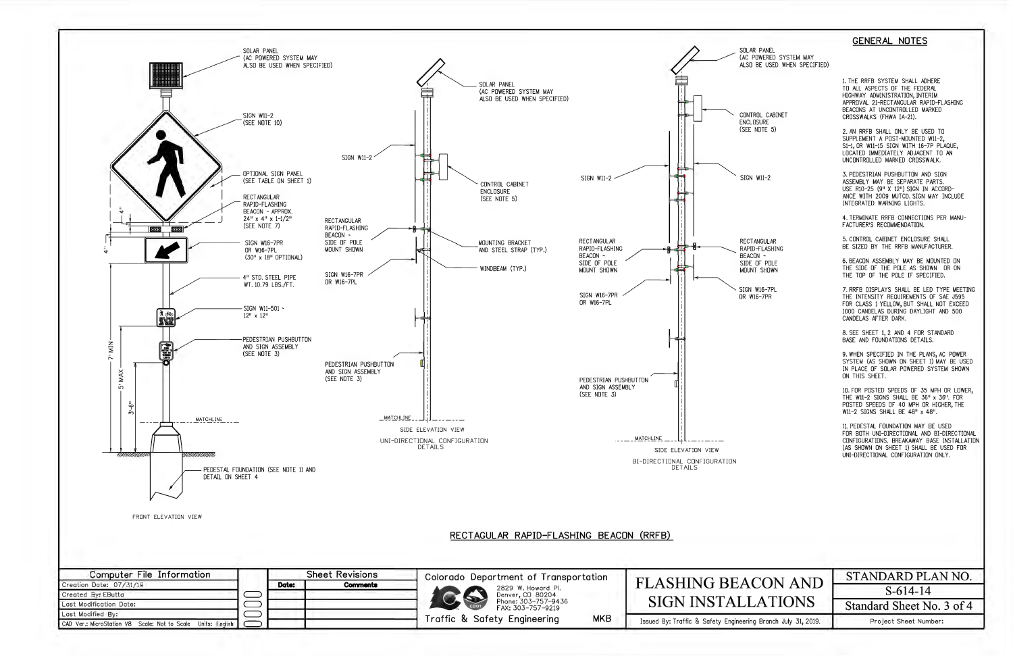